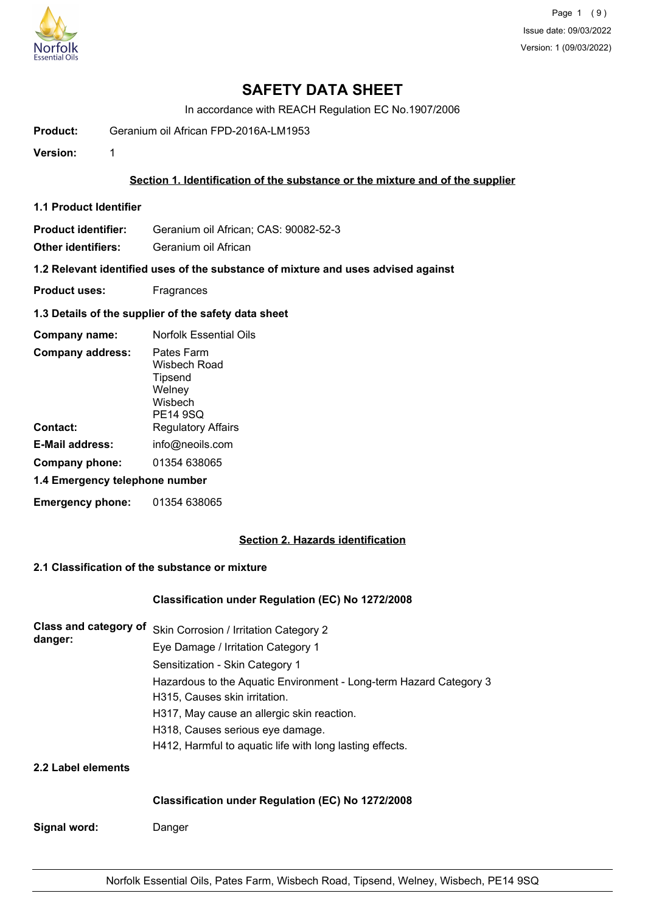

# **SAFETY DATA SHEET**

In accordance with REACH Regulation EC No.1907/2006

**Product:** Geranium oil African FPD-2016A-LM1953

**Version:** 1

### **Section 1. Identification of the substance or the mixture and of the supplier**

**1.1 Product Identifier**

**Product identifier:** Geranium oil African; CAS: 90082-52-3

**Other identifiers:** Geranium oil African

**1.2 Relevant identified uses of the substance of mixture and uses advised against**

- **Product uses:** Fragrances
- **1.3 Details of the supplier of the safety data sheet**

| Company name:                  | <b>Norfolk Essential Oils</b>                                          |
|--------------------------------|------------------------------------------------------------------------|
| <b>Company address:</b>        | Pates Farm<br>Wisbech Road<br>Tipsend<br>Welney<br>Wisbech<br>PE14 9SQ |
| Contact:                       | <b>Regulatory Affairs</b>                                              |
| E-Mail address:                | info@neoils.com                                                        |
| Company phone:                 | 01354 638065                                                           |
| 1.4 Emergency telephone number |                                                                        |
| <b>Emergency phone:</b>        | 01354 638065                                                           |

## **Section 2. Hazards identification**

# **2.1 Classification of the substance or mixture**

## **Classification under Regulation (EC) No 1272/2008**

| Class and category of | Skin Corrosion / Irritation Category 2                             |  |  |
|-----------------------|--------------------------------------------------------------------|--|--|
| danger:               | Eye Damage / Irritation Category 1                                 |  |  |
|                       | Sensitization - Skin Category 1                                    |  |  |
|                       | Hazardous to the Aquatic Environment - Long-term Hazard Category 3 |  |  |
|                       | H315, Causes skin irritation.                                      |  |  |
|                       | H317, May cause an allergic skin reaction.                         |  |  |
|                       | H318, Causes serious eye damage.                                   |  |  |
|                       | H412, Harmful to aquatic life with long lasting effects.           |  |  |
| 2.2 Label elements    |                                                                    |  |  |
|                       | <b>Classification under Regulation (EC) No 1272/2008</b>           |  |  |

**Signal word:** Danger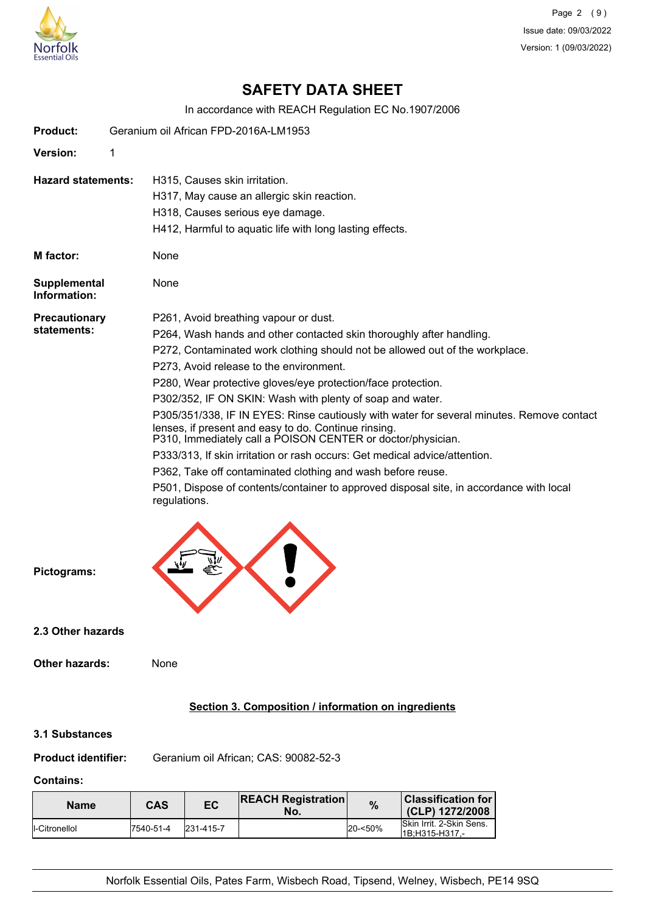

Page 2 (9) Issue date: 09/03/2022 Version: 1 (09/03/2022)

# **SAFETY DATA SHEET**

In accordance with REACH Regulation EC No.1907/2006

| <b>Product:</b>                     | Geranium oil African FPD-2016A-LM1953                                                                                                                                                                                                                                                                                                                                                                                                                                                                                                                                                                                                                                                                                                                                                                                                             |  |
|-------------------------------------|---------------------------------------------------------------------------------------------------------------------------------------------------------------------------------------------------------------------------------------------------------------------------------------------------------------------------------------------------------------------------------------------------------------------------------------------------------------------------------------------------------------------------------------------------------------------------------------------------------------------------------------------------------------------------------------------------------------------------------------------------------------------------------------------------------------------------------------------------|--|
| Version:                            | 1                                                                                                                                                                                                                                                                                                                                                                                                                                                                                                                                                                                                                                                                                                                                                                                                                                                 |  |
| <b>Hazard statements:</b>           | H315, Causes skin irritation.<br>H317, May cause an allergic skin reaction.<br>H318, Causes serious eye damage.<br>H412, Harmful to aquatic life with long lasting effects.                                                                                                                                                                                                                                                                                                                                                                                                                                                                                                                                                                                                                                                                       |  |
| M factor:                           | None                                                                                                                                                                                                                                                                                                                                                                                                                                                                                                                                                                                                                                                                                                                                                                                                                                              |  |
| <b>Supplemental</b><br>Information: | None                                                                                                                                                                                                                                                                                                                                                                                                                                                                                                                                                                                                                                                                                                                                                                                                                                              |  |
| <b>Precautionary</b><br>statements: | P261, Avoid breathing vapour or dust.<br>P264, Wash hands and other contacted skin thoroughly after handling.<br>P272, Contaminated work clothing should not be allowed out of the workplace.<br>P273, Avoid release to the environment.<br>P280, Wear protective gloves/eye protection/face protection.<br>P302/352, IF ON SKIN: Wash with plenty of soap and water.<br>P305/351/338, IF IN EYES: Rinse cautiously with water for several minutes. Remove contact<br>lenses, if present and easy to do. Continue rinsing.<br>P310, Immediately call a POISON CENTER or doctor/physician.<br>P333/313, If skin irritation or rash occurs: Get medical advice/attention.<br>P362, Take off contaminated clothing and wash before reuse.<br>P501, Dispose of contents/container to approved disposal site, in accordance with local<br>regulations. |  |
| Pictograms:                         |                                                                                                                                                                                                                                                                                                                                                                                                                                                                                                                                                                                                                                                                                                                                                                                                                                                   |  |
| 2.3 Other hazards                   |                                                                                                                                                                                                                                                                                                                                                                                                                                                                                                                                                                                                                                                                                                                                                                                                                                                   |  |
| <b>Other hazards:</b>               | None                                                                                                                                                                                                                                                                                                                                                                                                                                                                                                                                                                                                                                                                                                                                                                                                                                              |  |
|                                     | Section 3. Composition / information on ingredients                                                                                                                                                                                                                                                                                                                                                                                                                                                                                                                                                                                                                                                                                                                                                                                               |  |
| 3.1 Substances                      |                                                                                                                                                                                                                                                                                                                                                                                                                                                                                                                                                                                                                                                                                                                                                                                                                                                   |  |

**Product identifier:** Geranium oil African; CAS: 90082-52-3

# **Contains:**

| <b>Name</b>           | CAS       | EC        | <b>REACH Registration</b><br>No. | $\%$    | ∣ Classification for l<br>(CLP) 1272/2008   |
|-----------------------|-----------|-----------|----------------------------------|---------|---------------------------------------------|
| <b>I</b> -Citronellol | 7540-51-4 | 231-415-7 |                                  | 20-<50% | Skin Irrit, 2-Skin Sens.<br>I1B:H315-H317 - |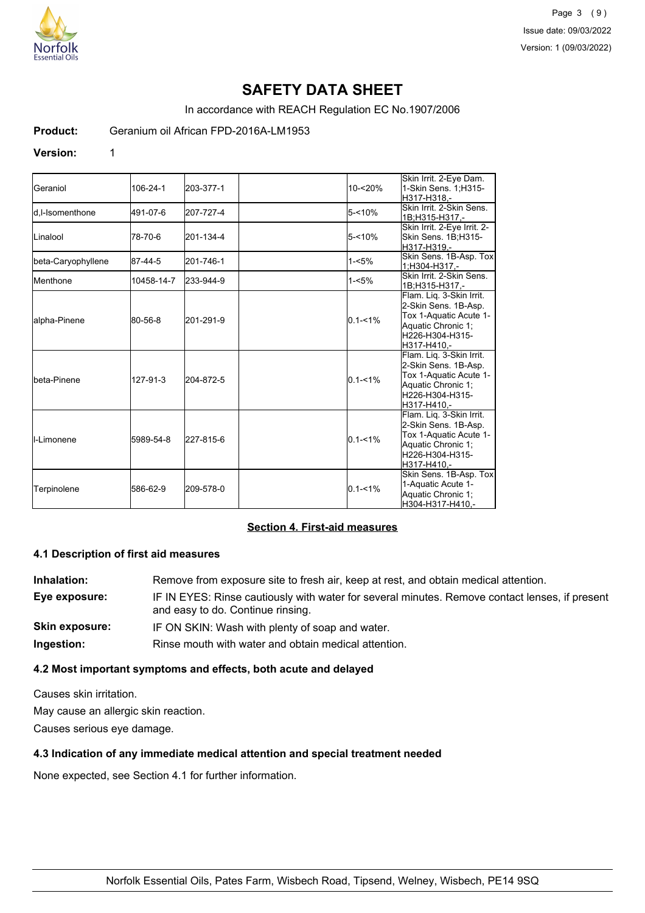

# **SAFETY DATA SHEET**

In accordance with REACH Regulation EC No.1907/2006

**Product:** Geranium oil African FPD-2016A-LM1953

#### **Version:** 1

| Geraniol                 | 106-24-1   | 203-377-1 | $10 - 20%$  | Skin Irrit. 2-Eye Dam.<br>1-Skin Sens. 1:H315-<br>H317-H318.-                                                                      |
|--------------------------|------------|-----------|-------------|------------------------------------------------------------------------------------------------------------------------------------|
| <b>I</b> d.I-Isomenthone | 491-07-6   | 207-727-4 | 5-<10%      | Skin Irrit, 2-Skin Sens.<br>1B;H315-H317,-                                                                                         |
| Linalool                 | 78-70-6    | 201-134-4 | $5 - 10%$   | Skin Irrit. 2-Eye Irrit. 2-<br>Skin Sens. 1B:H315-<br>H317-H319.-                                                                  |
| beta-Caryophyllene       | 87-44-5    | 201-746-1 | $1 - 5%$    | Skin Sens. 1B-Asp. Tox<br>1;H304-H317,-                                                                                            |
| <b>Menthone</b>          | 10458-14-7 | 233-944-9 | $1 - 5%$    | Skin Irrit. 2-Skin Sens.<br>1B;H315-H317.-                                                                                         |
| alpha-Pinene             | 80-56-8    | 201-291-9 | $0.1 - 1\%$ | Flam. Lig. 3-Skin Irrit.<br>2-Skin Sens. 1B-Asp.<br>Tox 1-Aquatic Acute 1-<br>Aquatic Chronic 1:<br>H226-H304-H315-<br>H317-H410.- |
| Ibeta-Pinene             | 127-91-3   | 204-872-5 | $0.1 - 1\%$ | Flam. Liq. 3-Skin Irrit.<br>2-Skin Sens. 1B-Asp.<br>Tox 1-Aquatic Acute 1-<br>Aquatic Chronic 1;<br>H226-H304-H315-<br>H317-H410.- |
| <b>I</b> I-Limonene      | 5989-54-8  | 227-815-6 | $0.1 - 1\%$ | Flam. Liq. 3-Skin Irrit.<br>2-Skin Sens. 1B-Asp.<br>Tox 1-Aquatic Acute 1-<br>Aquatic Chronic 1:<br>H226-H304-H315-<br>H317-H410,- |
| Terpinolene              | 586-62-9   | 209-578-0 | $0.1 - 1\%$ | Skin Sens. 1B-Asp. Tox<br>1-Aquatic Acute 1-<br>Aquatic Chronic 1;<br>H304-H317-H410,-                                             |

## **Section 4. First-aid measures**

#### **4.1 Description of first aid measures**

**Inhalation:** Remove from exposure site to fresh air, keep at rest, and obtain medical attention. **Eye exposure:** IF IN EYES: Rinse cautiously with water for several minutes. Remove contact lenses, if present and easy to do. Continue rinsing. **Skin exposure:** IF ON SKIN: Wash with plenty of soap and water. **Ingestion:** Rinse mouth with water and obtain medical attention.

## **4.2 Most important symptoms and effects, both acute and delayed**

Causes skin irritation.

May cause an allergic skin reaction.

Causes serious eye damage.

## **4.3 Indication of any immediate medical attention and special treatment needed**

None expected, see Section 4.1 for further information.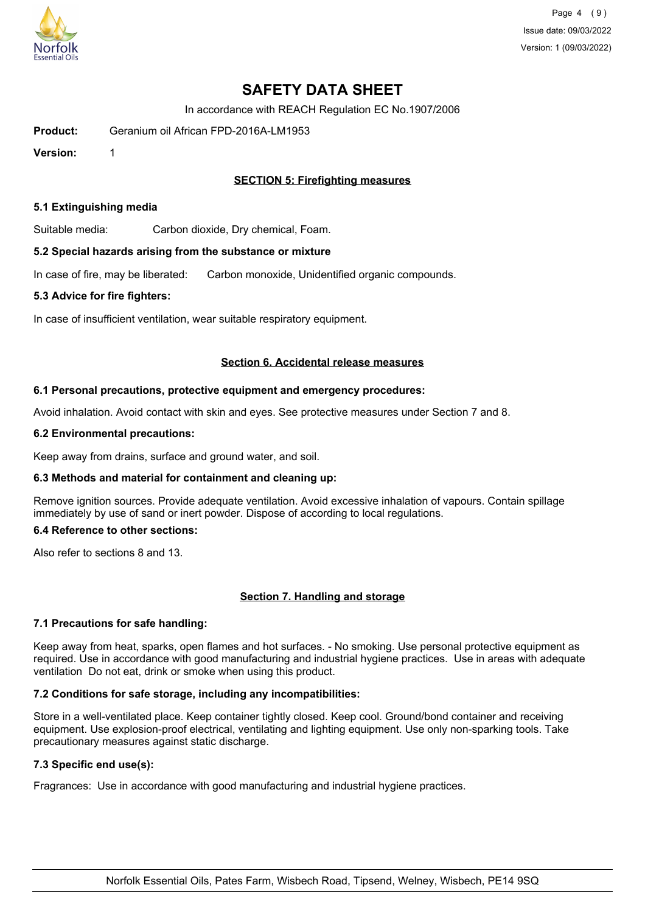

Page 4 (9) Issue date: 09/03/2022 Version: 1 (09/03/2022)

# **SAFETY DATA SHEET**

In accordance with REACH Regulation EC No.1907/2006

**Product:** Geranium oil African FPD-2016A-LM1953

**Version:** 1

## **SECTION 5: Firefighting measures**

#### **5.1 Extinguishing media**

Suitable media: Carbon dioxide, Dry chemical, Foam.

#### **5.2 Special hazards arising from the substance or mixture**

In case of fire, may be liberated: Carbon monoxide, Unidentified organic compounds.

#### **5.3 Advice for fire fighters:**

In case of insufficient ventilation, wear suitable respiratory equipment.

#### **Section 6. Accidental release measures**

#### **6.1 Personal precautions, protective equipment and emergency procedures:**

Avoid inhalation. Avoid contact with skin and eyes. See protective measures under Section 7 and 8.

#### **6.2 Environmental precautions:**

Keep away from drains, surface and ground water, and soil.

## **6.3 Methods and material for containment and cleaning up:**

Remove ignition sources. Provide adequate ventilation. Avoid excessive inhalation of vapours. Contain spillage immediately by use of sand or inert powder. Dispose of according to local regulations.

## **6.4 Reference to other sections:**

Also refer to sections 8 and 13.

## **Section 7. Handling and storage**

## **7.1 Precautions for safe handling:**

Keep away from heat, sparks, open flames and hot surfaces. - No smoking. Use personal protective equipment as required. Use in accordance with good manufacturing and industrial hygiene practices. Use in areas with adequate ventilation Do not eat, drink or smoke when using this product.

## **7.2 Conditions for safe storage, including any incompatibilities:**

Store in a well-ventilated place. Keep container tightly closed. Keep cool. Ground/bond container and receiving equipment. Use explosion-proof electrical, ventilating and lighting equipment. Use only non-sparking tools. Take precautionary measures against static discharge.

## **7.3 Specific end use(s):**

Fragrances: Use in accordance with good manufacturing and industrial hygiene practices.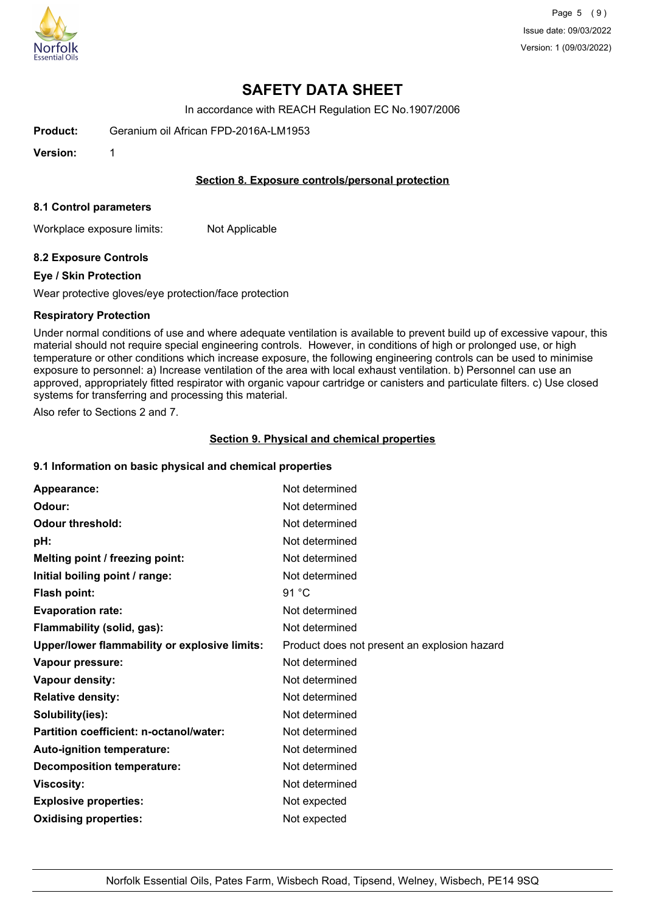

# **SAFETY DATA SHEET**

In accordance with REACH Regulation EC No.1907/2006

**Product:** Geranium oil African FPD-2016A-LM1953

**Version:** 1

### **Section 8. Exposure controls/personal protection**

#### **8.1 Control parameters**

Workplace exposure limits: Not Applicable

## **8.2 Exposure Controls**

#### **Eye / Skin Protection**

Wear protective gloves/eye protection/face protection

#### **Respiratory Protection**

Under normal conditions of use and where adequate ventilation is available to prevent build up of excessive vapour, this material should not require special engineering controls. However, in conditions of high or prolonged use, or high temperature or other conditions which increase exposure, the following engineering controls can be used to minimise exposure to personnel: a) Increase ventilation of the area with local exhaust ventilation. b) Personnel can use an approved, appropriately fitted respirator with organic vapour cartridge or canisters and particulate filters. c) Use closed systems for transferring and processing this material.

Also refer to Sections 2 and 7.

#### **Section 9. Physical and chemical properties**

#### **9.1 Information on basic physical and chemical properties**

| Appearance:                                   | Not determined                               |
|-----------------------------------------------|----------------------------------------------|
| Odour:                                        | Not determined                               |
| <b>Odour threshold:</b>                       | Not determined                               |
| pH:                                           | Not determined                               |
| Melting point / freezing point:               | Not determined                               |
| Initial boiling point / range:                | Not determined                               |
| <b>Flash point:</b>                           | 91 $^{\circ}$ C                              |
| <b>Evaporation rate:</b>                      | Not determined                               |
| Flammability (solid, gas):                    | Not determined                               |
| Upper/lower flammability or explosive limits: | Product does not present an explosion hazard |
| Vapour pressure:                              | Not determined                               |
| Vapour density:                               | Not determined                               |
| <b>Relative density:</b>                      | Not determined                               |
| Solubility(ies):                              | Not determined                               |
| Partition coefficient: n-octanol/water:       | Not determined                               |
| Auto-ignition temperature:                    | Not determined                               |
| <b>Decomposition temperature:</b>             | Not determined                               |
| <b>Viscosity:</b>                             | Not determined                               |
| <b>Explosive properties:</b>                  | Not expected                                 |
| <b>Oxidising properties:</b>                  | Not expected                                 |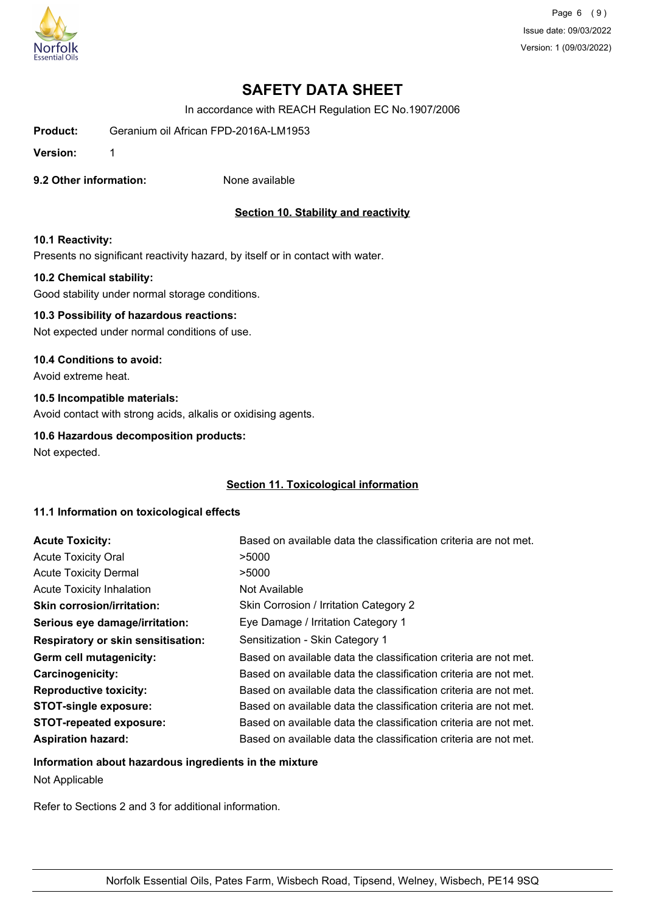

Page 6 (9) Issue date: 09/03/2022 Version: 1 (09/03/2022)

# **SAFETY DATA SHEET**

In accordance with REACH Regulation EC No.1907/2006

**Product:** Geranium oil African FPD-2016A-LM1953

**Version:** 1

**9.2 Other information:** None available

## **Section 10. Stability and reactivity**

#### **10.1 Reactivity:**

Presents no significant reactivity hazard, by itself or in contact with water.

#### **10.2 Chemical stability:**

Good stability under normal storage conditions.

# **10.3 Possibility of hazardous reactions:**

Not expected under normal conditions of use.

#### **10.4 Conditions to avoid:**

Avoid extreme heat.

#### **10.5 Incompatible materials:**

Avoid contact with strong acids, alkalis or oxidising agents.

## **10.6 Hazardous decomposition products:**

Not expected.

## **Section 11. Toxicological information**

## **11.1 Information on toxicological effects**

| <b>Acute Toxicity:</b>                    | Based on available data the classification criteria are not met. |
|-------------------------------------------|------------------------------------------------------------------|
| <b>Acute Toxicity Oral</b>                | >5000                                                            |
| <b>Acute Toxicity Dermal</b>              | >5000                                                            |
| <b>Acute Toxicity Inhalation</b>          | Not Available                                                    |
| <b>Skin corrosion/irritation:</b>         | Skin Corrosion / Irritation Category 2                           |
| Serious eye damage/irritation:            | Eye Damage / Irritation Category 1                               |
| <b>Respiratory or skin sensitisation:</b> | Sensitization - Skin Category 1                                  |
| Germ cell mutagenicity:                   | Based on available data the classification criteria are not met. |
| <b>Carcinogenicity:</b>                   | Based on available data the classification criteria are not met. |
| <b>Reproductive toxicity:</b>             | Based on available data the classification criteria are not met. |
| <b>STOT-single exposure:</b>              | Based on available data the classification criteria are not met. |
| <b>STOT-repeated exposure:</b>            | Based on available data the classification criteria are not met. |
| <b>Aspiration hazard:</b>                 | Based on available data the classification criteria are not met. |

# **Information about hazardous ingredients in the mixture**

Not Applicable

Refer to Sections 2 and 3 for additional information.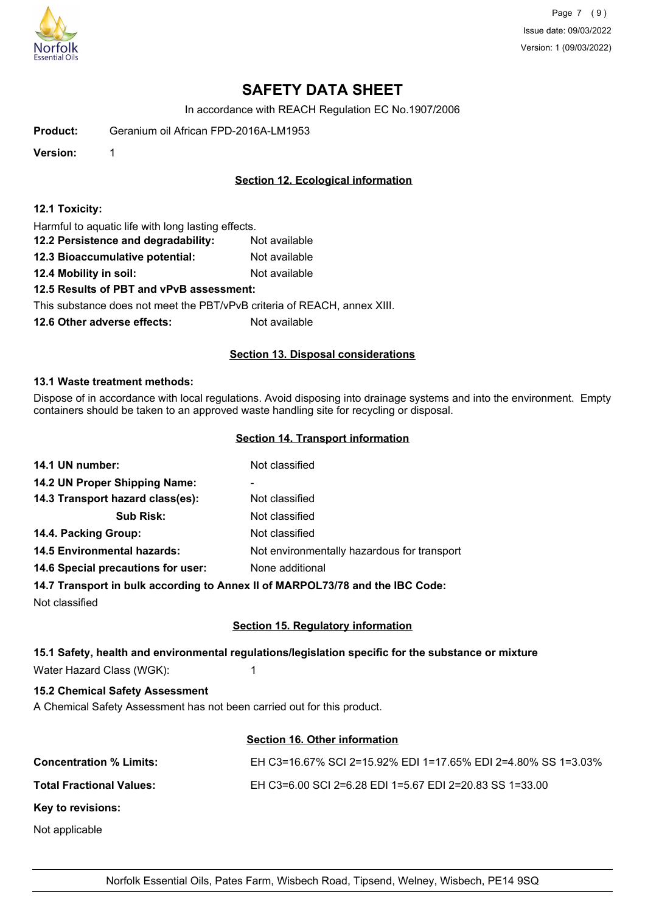

Page 7 (9) Issue date: 09/03/2022 Version: 1 (09/03/2022)

# **SAFETY DATA SHEET**

In accordance with REACH Regulation EC No.1907/2006

**Product:** Geranium oil African FPD-2016A-LM1953

**Version:** 1

## **Section 12. Ecological information**

### **12.1 Toxicity:**

Harmful to aquatic life with long lasting effects.

- **12.2 Persistence and degradability:** Not available
- **12.3 Bioaccumulative potential:** Not available
- **12.4 Mobility in soil:** Not available

## **12.5 Results of PBT and vPvB assessment:**

This substance does not meet the PBT/vPvB criteria of REACH, annex XIII.

**12.6 Other adverse effects:** Not available

## **Section 13. Disposal considerations**

#### **13.1 Waste treatment methods:**

Dispose of in accordance with local regulations. Avoid disposing into drainage systems and into the environment. Empty containers should be taken to an approved waste handling site for recycling or disposal.

#### **Section 14. Transport information**

| 14.1 UN number:                    | Not classified                                                                 |
|------------------------------------|--------------------------------------------------------------------------------|
| 14.2 UN Proper Shipping Name:      | -                                                                              |
| 14.3 Transport hazard class(es):   | Not classified                                                                 |
| <b>Sub Risk:</b>                   | Not classified                                                                 |
| 14.4. Packing Group:               | Not classified                                                                 |
| <b>14.5 Environmental hazards:</b> | Not environmentally hazardous for transport                                    |
| 14.6 Special precautions for user: | None additional                                                                |
|                                    | 14.7 Transport in bulk according to Anney II of MARPOI 73/78 and the IRC Code: |

## **14.7 Transport in bulk according to Annex II of MARPOL73/78 and the IBC Code:**

Not classified

# **Section 15. Regulatory information**

## **15.1 Safety, health and environmental regulations/legislation specific for the substance or mixture**

Water Hazard Class (WGK): 1

## **15.2 Chemical Safety Assessment**

A Chemical Safety Assessment has not been carried out for this product.

## **Section 16. Other information**

| <b>Concentration % Limits:</b>  | EH C3=16.67% SCI 2=15.92% EDI 1=17.65% EDI 2=4.80% SS 1=3.03% |
|---------------------------------|---------------------------------------------------------------|
| <b>Total Fractional Values:</b> | EH C3=6.00 SCI 2=6.28 EDI 1=5.67 EDI 2=20.83 SS 1=33.00       |
| Key to revisions:               |                                                               |
| Not applicable                  |                                                               |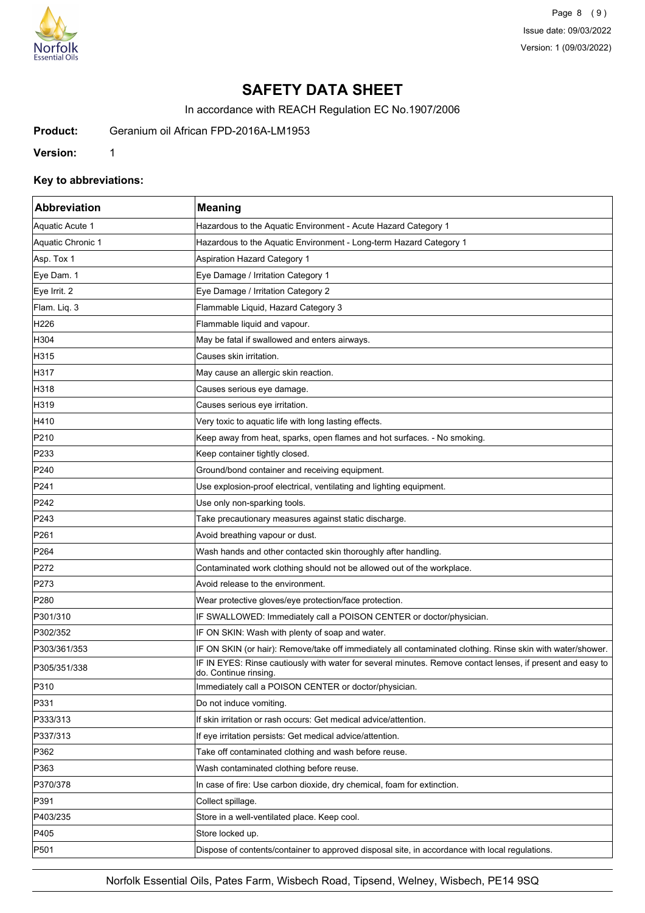

Page 8 (9) Issue date: 09/03/2022 Version: 1 (09/03/2022)

# **SAFETY DATA SHEET**

In accordance with REACH Regulation EC No.1907/2006

**Product:** Geranium oil African FPD-2016A-LM1953

**Version:** 1

## **Key to abbreviations:**

| Abbreviation      | <b>Meaning</b>                                                                                                                      |
|-------------------|-------------------------------------------------------------------------------------------------------------------------------------|
| Aquatic Acute 1   | Hazardous to the Aquatic Environment - Acute Hazard Category 1                                                                      |
| Aquatic Chronic 1 | Hazardous to the Aquatic Environment - Long-term Hazard Category 1                                                                  |
| Asp. Tox 1        | <b>Aspiration Hazard Category 1</b>                                                                                                 |
| Eye Dam. 1        | Eye Damage / Irritation Category 1                                                                                                  |
| Eye Irrit. 2      | Eye Damage / Irritation Category 2                                                                                                  |
| Flam. Liq. 3      | Flammable Liquid, Hazard Category 3                                                                                                 |
| H226              | Flammable liquid and vapour.                                                                                                        |
| H304              | May be fatal if swallowed and enters airways.                                                                                       |
| H315              | Causes skin irritation.                                                                                                             |
| H317              | May cause an allergic skin reaction.                                                                                                |
| H318              | Causes serious eye damage.                                                                                                          |
| H319              | Causes serious eye irritation.                                                                                                      |
| H410              | Very toxic to aquatic life with long lasting effects.                                                                               |
| P210              | Keep away from heat, sparks, open flames and hot surfaces. - No smoking.                                                            |
| P233              | Keep container tightly closed.                                                                                                      |
| P240              | Ground/bond container and receiving equipment.                                                                                      |
| P241              | Use explosion-proof electrical, ventilating and lighting equipment.                                                                 |
| P242              | Use only non-sparking tools.                                                                                                        |
| P243              | Take precautionary measures against static discharge.                                                                               |
| P261              | Avoid breathing vapour or dust.                                                                                                     |
| P <sub>264</sub>  | Wash hands and other contacted skin thoroughly after handling.                                                                      |
| P272              | Contaminated work clothing should not be allowed out of the workplace.                                                              |
| P273              | Avoid release to the environment.                                                                                                   |
| P280              | Wear protective gloves/eye protection/face protection.                                                                              |
| P301/310          | IF SWALLOWED: Immediately call a POISON CENTER or doctor/physician.                                                                 |
| P302/352          | IF ON SKIN: Wash with plenty of soap and water.                                                                                     |
| P303/361/353      | IF ON SKIN (or hair): Remove/take off immediately all contaminated clothing. Rinse skin with water/shower.                          |
| P305/351/338      | IF IN EYES: Rinse cautiously with water for several minutes. Remove contact lenses, if present and easy to<br>do. Continue rinsing. |
| P310              | Immediately call a POISON CENTER or doctor/physician.                                                                               |
| P331              | Do not induce vomiting.                                                                                                             |
| P333/313          | If skin irritation or rash occurs: Get medical advice/attention.                                                                    |
| P337/313          | If eye irritation persists: Get medical advice/attention.                                                                           |
| P362              | Take off contaminated clothing and wash before reuse.                                                                               |
| P363              | Wash contaminated clothing before reuse.                                                                                            |
| P370/378          | In case of fire: Use carbon dioxide, dry chemical, foam for extinction.                                                             |
| P391              | Collect spillage.                                                                                                                   |
| P403/235          | Store in a well-ventilated place. Keep cool.                                                                                        |
| P405              | Store locked up.                                                                                                                    |
| P501              | Dispose of contents/container to approved disposal site, in accordance with local regulations.                                      |